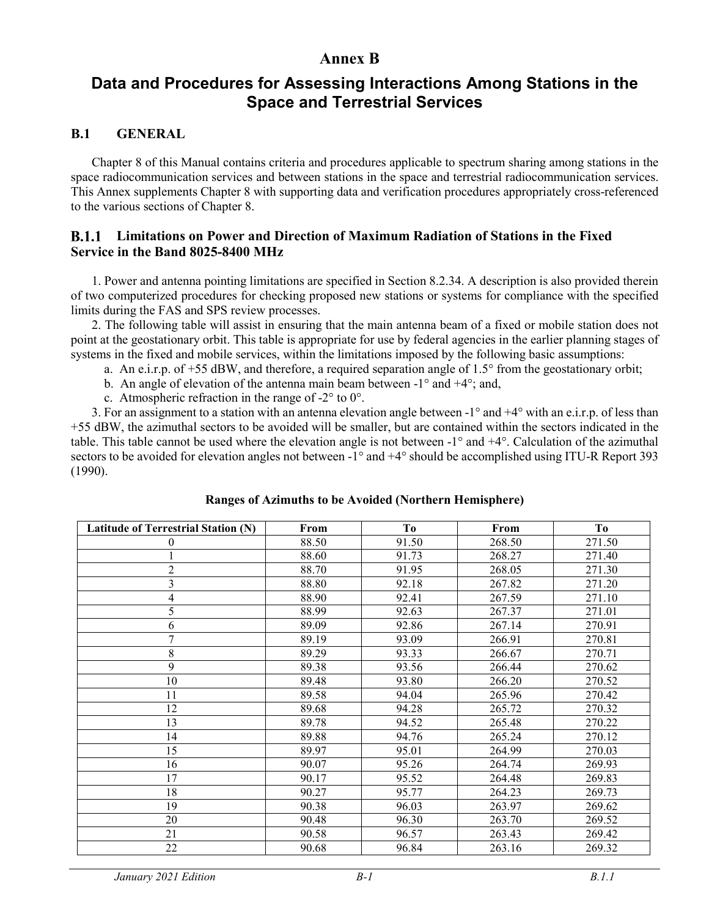# **Annex B**

# **Data and Procedures for Assessing Interactions Among Stations in the Space and Terrestrial Services**

# **B.1 GENERAL**

Chapter 8 of this Manual contains criteria and procedures applicable to spectrum sharing among stations in the space radiocommunication services and between stations in the space and terrestrial radiocommunication services. This Annex supplements Chapter 8 with supporting data and verification procedures appropriately cross-referenced to the various sections of Chapter 8.

### **Limitations on Power and Direction of Maximum Radiation of Stations in the Fixed Service in the Band 8025-8400 MHz**

1. Power and antenna pointing limitations are specified in Section 8.2.34. A description is also provided therein of two computerized procedures for checking proposed new stations or systems for compliance with the specified limits during the FAS and SPS review processes.

2. The following table will assist in ensuring that the main antenna beam of a fixed or mobile station does not point at the geostationary orbit. This table is appropriate for use by federal agencies in the earlier planning stages of systems in the fixed and mobile services, within the limitations imposed by the following basic assumptions:

a. An e.i.r.p. of  $+55$  dBW, and therefore, a required separation angle of 1.5 $\degree$  from the geostationary orbit;

b. An angle of elevation of the antenna main beam between  $-1^{\circ}$  and  $+4^{\circ}$ ; and,

c. Atmospheric refraction in the range of -2° to 0°.

3. For an assignment to a station with an antenna elevation angle between -1° and +4° with an e.i.r.p. of less than +55 dBW, the azimuthal sectors to be avoided will be smaller, but are contained within the sectors indicated in the table. This table cannot be used where the elevation angle is not between -1° and +4°. Calculation of the azimuthal sectors to be avoided for elevation angles not between -1° and +4° should be accomplished using ITU-R Report 393 (1990).

| <b>Latitude of Terrestrial Station (N)</b> | From  | To    | From   | To     |
|--------------------------------------------|-------|-------|--------|--------|
| $\bf{0}$                                   | 88.50 | 91.50 | 268.50 | 271.50 |
|                                            | 88.60 | 91.73 | 268.27 | 271.40 |
| $\overline{2}$                             | 88.70 | 91.95 | 268.05 | 271.30 |
| 3                                          | 88.80 | 92.18 | 267.82 | 271.20 |
| $\overline{4}$                             | 88.90 | 92.41 | 267.59 | 271.10 |
| 5                                          | 88.99 | 92.63 | 267.37 | 271.01 |
| 6                                          | 89.09 | 92.86 | 267.14 | 270.91 |
| 7                                          | 89.19 | 93.09 | 266.91 | 270.81 |
| $8\,$                                      | 89.29 | 93.33 | 266.67 | 270.71 |
| 9                                          | 89.38 | 93.56 | 266.44 | 270.62 |
| 10                                         | 89.48 | 93.80 | 266.20 | 270.52 |
| 11                                         | 89.58 | 94.04 | 265.96 | 270.42 |
| 12                                         | 89.68 | 94.28 | 265.72 | 270.32 |
| 13                                         | 89.78 | 94.52 | 265.48 | 270.22 |
| 14                                         | 89.88 | 94.76 | 265.24 | 270.12 |
| 15                                         | 89.97 | 95.01 | 264.99 | 270.03 |
| 16                                         | 90.07 | 95.26 | 264.74 | 269.93 |
| 17                                         | 90.17 | 95.52 | 264.48 | 269.83 |
| 18                                         | 90.27 | 95.77 | 264.23 | 269.73 |
| 19                                         | 90.38 | 96.03 | 263.97 | 269.62 |
| 20                                         | 90.48 | 96.30 | 263.70 | 269.52 |
| 21                                         | 90.58 | 96.57 | 263.43 | 269.42 |
| 22                                         | 90.68 | 96.84 | 263.16 | 269.32 |

### **Ranges of Azimuths to be Avoided (Northern Hemisphere)**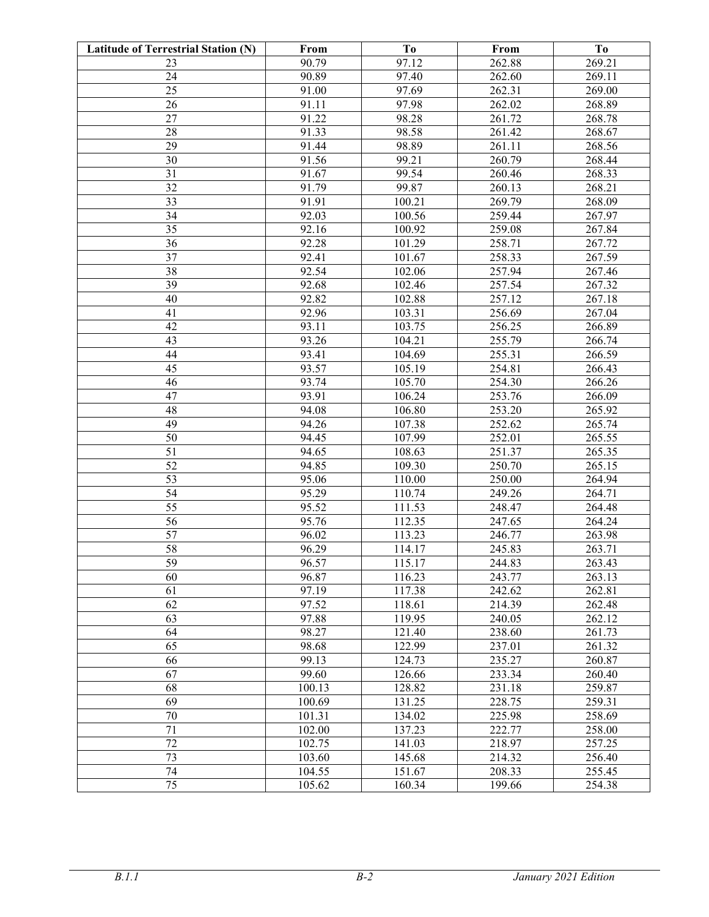| <b>Latitude of Terrestrial Station (N)</b> | From   | Tо     | From   | T <sub>0</sub> |
|--------------------------------------------|--------|--------|--------|----------------|
| 23                                         | 90.79  | 97.12  | 262.88 | 269.21         |
| 24                                         | 90.89  | 97.40  | 262.60 | 269.11         |
| 25                                         | 91.00  | 97.69  | 262.31 | 269.00         |
| 26                                         | 91.11  | 97.98  | 262.02 | 268.89         |
| 27                                         | 91.22  | 98.28  | 261.72 | 268.78         |
| 28                                         | 91.33  | 98.58  | 261.42 | 268.67         |
| 29                                         | 91.44  | 98.89  | 261.11 | 268.56         |
| 30                                         | 91.56  | 99.21  | 260.79 | 268.44         |
| 31                                         | 91.67  | 99.54  | 260.46 | 268.33         |
| 32                                         | 91.79  | 99.87  | 260.13 | 268.21         |
| 33                                         | 91.91  | 100.21 | 269.79 | 268.09         |
| 34                                         | 92.03  | 100.56 | 259.44 | 267.97         |
| 35                                         | 92.16  | 100.92 | 259.08 | 267.84         |
| 36                                         | 92.28  | 101.29 | 258.71 | 267.72         |
| 37                                         | 92.41  | 101.67 | 258.33 | 267.59         |
| 38                                         | 92.54  | 102.06 | 257.94 | 267.46         |
| 39                                         | 92.68  | 102.46 | 257.54 | 267.32         |
| 40                                         | 92.82  | 102.88 | 257.12 | 267.18         |
| 41                                         | 92.96  | 103.31 | 256.69 | 267.04         |
| 42                                         | 93.11  | 103.75 | 256.25 | 266.89         |
| 43                                         | 93.26  | 104.21 | 255.79 | 266.74         |
| 44                                         | 93.41  | 104.69 | 255.31 | 266.59         |
| 45                                         | 93.57  | 105.19 | 254.81 | 266.43         |
| 46                                         | 93.74  | 105.70 | 254.30 | 266.26         |
| 47                                         | 93.91  | 106.24 | 253.76 | 266.09         |
| 48                                         | 94.08  | 106.80 | 253.20 | 265.92         |
| 49                                         | 94.26  | 107.38 | 252.62 | 265.74         |
| 50                                         | 94.45  | 107.99 | 252.01 | 265.55         |
| 51                                         | 94.65  | 108.63 | 251.37 | 265.35         |
| 52                                         | 94.85  | 109.30 | 250.70 | 265.15         |
| 53                                         | 95.06  | 110.00 | 250.00 | 264.94         |
| 54                                         | 95.29  | 110.74 | 249.26 | 264.71         |
| 55                                         | 95.52  | 111.53 | 248.47 | 264.48         |
| 56                                         | 95.76  | 112.35 | 247.65 | 264.24         |
| 57                                         | 96.02  | 113.23 | 246.77 | 263.98         |
| 58                                         | 96.29  | 114.17 | 245.83 | 263.71         |
| 59                                         | 96.57  | 115.17 | 244.83 | 263.43         |
| 60                                         | 96.87  | 116.23 | 243.77 | 263.13         |
| 61                                         | 97.19  | 117.38 | 242.62 | 262.81         |
| 62                                         | 97.52  | 118.61 | 214.39 | 262.48         |
| 63                                         | 97.88  | 119.95 | 240.05 | 262.12         |
| 64                                         | 98.27  | 121.40 | 238.60 | 261.73         |
| 65                                         | 98.68  | 122.99 | 237.01 | 261.32         |
| 66                                         | 99.13  | 124.73 | 235.27 | 260.87         |
| 67                                         | 99.60  | 126.66 | 233.34 | 260.40         |
| 68                                         | 100.13 | 128.82 | 231.18 | 259.87         |
| 69                                         | 100.69 | 131.25 | 228.75 | 259.31         |
| 70                                         | 101.31 | 134.02 | 225.98 | 258.69         |
| 71                                         | 102.00 | 137.23 | 222.77 | 258.00         |
| 72                                         | 102.75 | 141.03 | 218.97 | 257.25         |
| 73                                         | 103.60 | 145.68 | 214.32 | 256.40         |
| 74                                         | 104.55 | 151.67 | 208.33 | 255.45         |
| 75                                         | 105.62 | 160.34 | 199.66 | 254.38         |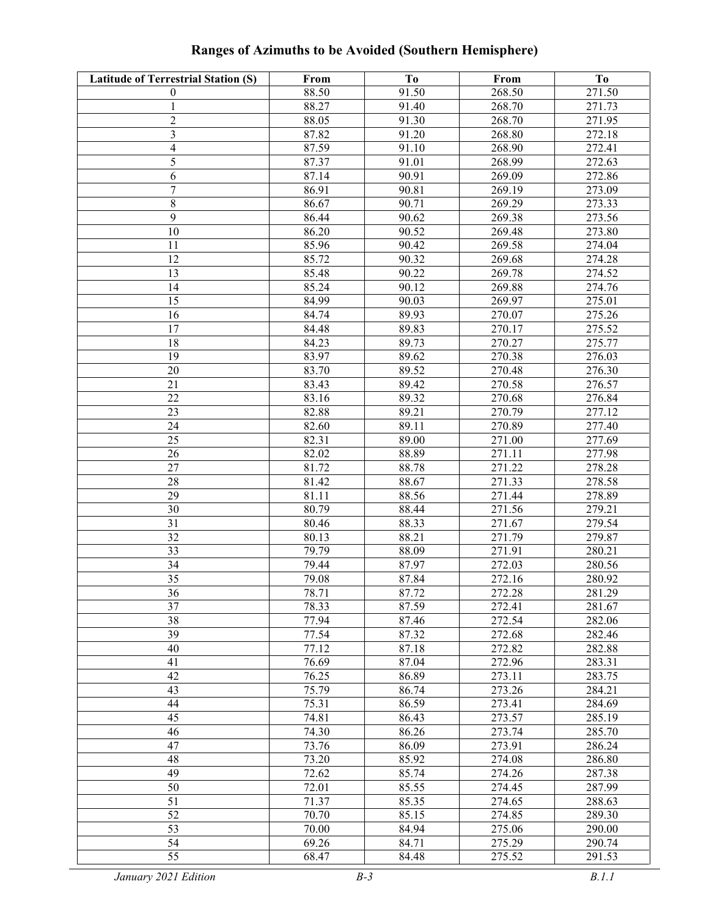| Ranges of Azimuths to be Avoided (Southern Hemisphere) |      |     |      |  |  |
|--------------------------------------------------------|------|-----|------|--|--|
| <b>Terrestrial Station (S)</b>                         | From | To- | From |  |  |

|  |  | <b>Ranges of Azimuths to be Avoided (Southern Hemisphere)</b> |
|--|--|---------------------------------------------------------------|
|  |  |                                                               |
|  |  |                                                               |

| <b>Latitude of Terrestrial Station (S)</b> | From           | To             | From             | T <sub>0</sub>   |
|--------------------------------------------|----------------|----------------|------------------|------------------|
| $\theta$                                   | 88.50          | 91.50          | 268.50           | 271.50           |
| 1                                          | 88.27          | 91.40          | 268.70           | 271.73           |
| $\overline{c}$                             | 88.05          | 91.30          | 268.70           | 271.95           |
| $\mathfrak{Z}$                             | 87.82          | 91.20          | 268.80           | 272.18           |
| $\overline{\mathbf{4}}$                    | 87.59          | 91.10          | 268.90           | 272.41           |
| 5                                          | 87.37          | 91.01          | 268.99           | 272.63           |
| 6                                          | 87.14          | 90.91          | 269.09           | 272.86           |
| $\overline{7}$                             | 86.91          | 90.81          | 269.19           | 273.09           |
| $8\,$                                      | 86.67          | 90.71          | 269.29           | 273.33           |
| $\overline{9}$                             | 86.44          | 90.62          | 269.38           | 273.56           |
| 10                                         | 86.20          | 90.52          | 269.48           | 273.80           |
| 11                                         | 85.96          | 90.42          | 269.58           | 274.04           |
| 12                                         | 85.72          | 90.32          | 269.68           | 274.28           |
| 13                                         | 85.48          | 90.22          | 269.78           | 274.52           |
| 14                                         | 85.24          | 90.12          | 269.88           | 274.76           |
| 15                                         | 84.99          | 90.03          | 269.97           | 275.01           |
| 16                                         | 84.74          | 89.93          | 270.07           | 275.26           |
| 17                                         | 84.48          | 89.83          | 270.17           | 275.52           |
| 18                                         | 84.23          | 89.73          | 270.27           | 275.77           |
| 19                                         | 83.97          | 89.62          | 270.38           | 276.03           |
| 20                                         | 83.70          | 89.52          | 270.48           | 276.30           |
| 21                                         | 83.43          | 89.42          | 270.58           | 276.57           |
| 22                                         | 83.16          | 89.32          | 270.68           | 276.84           |
| 23                                         | 82.88          | 89.21          | 270.79           | 277.12           |
| 24                                         | 82.60          | 89.11          | 270.89           | 277.40           |
| 25                                         | 82.31          | 89.00          | 271.00           | 277.69           |
| 26                                         | 82.02          | 88.89          | 271.11           | 277.98           |
| 27                                         | 81.72          | 88.78          | 271.22           | 278.28           |
| 28                                         | 81.42          | 88.67          | 271.33           | 278.58           |
| 29                                         | 81.11          | 88.56          | 271.44           | 278.89           |
| 30                                         | 80.79          | 88.44          | 271.56           | 279.21           |
| 31                                         | 80.46          | 88.33          | 271.67           | 279.54           |
| 32                                         | 80.13          | 88.21          | 271.79           | 279.87           |
| 33                                         | 79.79          | 88.09          | 271.91           | 280.21           |
| 34                                         | 79.44          | 87.97          | 272.03           | 280.56           |
| 35                                         | 79.08          | 87.84<br>87.72 | 272.16           | 280.92           |
| $\overline{36}$<br>37                      | 78.71<br>78.33 | 87.59          | 272.28<br>272.41 | 281.29<br>281.67 |
| 38                                         | 77.94          | 87.46          | 272.54           | 282.06           |
| 39                                         | 77.54          | 87.32          | 272.68           | 282.46           |
| 40                                         | 77.12          | 87.18          | 272.82           | 282.88           |
| 41                                         | 76.69          | 87.04          | 272.96           | 283.31           |
| 42                                         | 76.25          | 86.89          | 273.11           | 283.75           |
| 43                                         | 75.79          | 86.74          | 273.26           | 284.21           |
| 44                                         | 75.31          | 86.59          | 273.41           | 284.69           |
| 45                                         | 74.81          | 86.43          | 273.57           | 285.19           |
| 46                                         | 74.30          | 86.26          | 273.74           | 285.70           |
| 47                                         | 73.76          | 86.09          | 273.91           | 286.24           |
| 48                                         | 73.20          | 85.92          | 274.08           | 286.80           |
| 49                                         | 72.62          | 85.74          | 274.26           | 287.38           |
| 50                                         | 72.01          | 85.55          | 274.45           | 287.99           |
| 51                                         | 71.37          | 85.35          | 274.65           | 288.63           |
| $\overline{52}$                            | 70.70          | 85.15          | 274.85           | 289.30           |
| $\overline{53}$                            | 70.00          | 84.94          | 275.06           | 290.00           |
| 54                                         | 69.26          | 84.71          | 275.29           | 290.74           |
| 55                                         | 68.47          | 84.48          | 275.52           | 291.53           |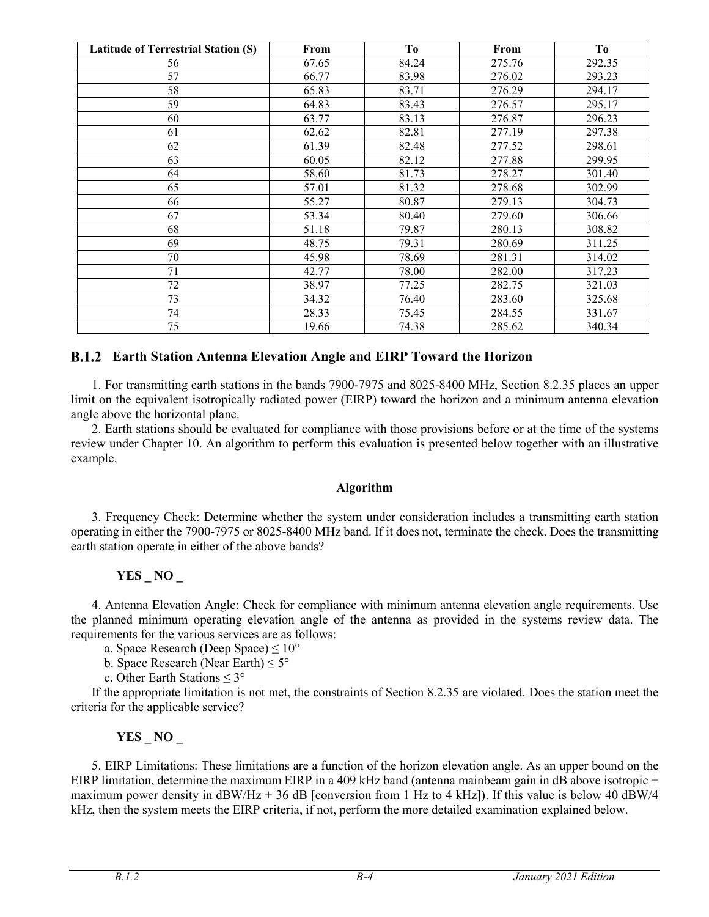| <b>Latitude of Terrestrial Station (S)</b> | From  | T <sub>0</sub> | From   | To     |
|--------------------------------------------|-------|----------------|--------|--------|
| 56                                         | 67.65 | 84.24          | 275.76 | 292.35 |
| 57                                         | 66.77 | 83.98          | 276.02 | 293.23 |
| 58                                         | 65.83 | 83.71          | 276.29 | 294.17 |
| 59                                         | 64.83 | 83.43          | 276.57 | 295.17 |
| 60                                         | 63.77 | 83.13          | 276.87 | 296.23 |
| 61                                         | 62.62 | 82.81          | 277.19 | 297.38 |
| 62                                         | 61.39 | 82.48          | 277.52 | 298.61 |
| 63                                         | 60.05 | 82.12          | 277.88 | 299.95 |
| 64                                         | 58.60 | 81.73          | 278.27 | 301.40 |
| 65                                         | 57.01 | 81.32          | 278.68 | 302.99 |
| 66                                         | 55.27 | 80.87          | 279.13 | 304.73 |
| 67                                         | 53.34 | 80.40          | 279.60 | 306.66 |
| 68                                         | 51.18 | 79.87          | 280.13 | 308.82 |
| 69                                         | 48.75 | 79.31          | 280.69 | 311.25 |
| 70                                         | 45.98 | 78.69          | 281.31 | 314.02 |
| 71                                         | 42.77 | 78.00          | 282.00 | 317.23 |
| 72                                         | 38.97 | 77.25          | 282.75 | 321.03 |
| 73                                         | 34.32 | 76.40          | 283.60 | 325.68 |
| 74                                         | 28.33 | 75.45          | 284.55 | 331.67 |
| 75                                         | 19.66 | 74.38          | 285.62 | 340.34 |

### **Earth Station Antenna Elevation Angle and EIRP Toward the Horizon**

1. For transmitting earth stations in the bands 7900-7975 and 8025-8400 MHz, Section 8.2.35 places an upper limit on the equivalent isotropically radiated power (EIRP) toward the horizon and a minimum antenna elevation angle above the horizontal plane.

2. Earth stations should be evaluated for compliance with those provisions before or at the time of the systems review under Chapter 10. An algorithm to perform this evaluation is presented below together with an illustrative example.

#### **Algorithm**

3. Frequency Check: Determine whether the system under consideration includes a transmitting earth station operating in either the 7900-7975 or 8025-8400 MHz band. If it does not, terminate the check. Does the transmitting earth station operate in either of the above bands?

# **YES \_ NO \_**

4. Antenna Elevation Angle: Check for compliance with minimum antenna elevation angle requirements. Use the planned minimum operating elevation angle of the antenna as provided in the systems review data. The requirements for the various services are as follows:

a. Space Research (Deep Space)  $\leq 10^{\circ}$ 

b. Space Research (Near Earth)  $\leq 5^{\circ}$ 

c. Other Earth Stations ≤ 3°

If the appropriate limitation is not met, the constraints of Section 8.2.35 are violated. Does the station meet the criteria for the applicable service?

# **YES \_ NO \_**

5. EIRP Limitations: These limitations are a function of the horizon elevation angle. As an upper bound on the EIRP limitation, determine the maximum EIRP in a 409 kHz band (antenna mainbeam gain in dB above isotropic + maximum power density in  $\text{dBW}/\text{Hz} + 36 \text{ dB}$  [conversion from 1 Hz to 4 kHz]). If this value is below 40 dBW/4 kHz, then the system meets the EIRP criteria, if not, perform the more detailed examination explained below.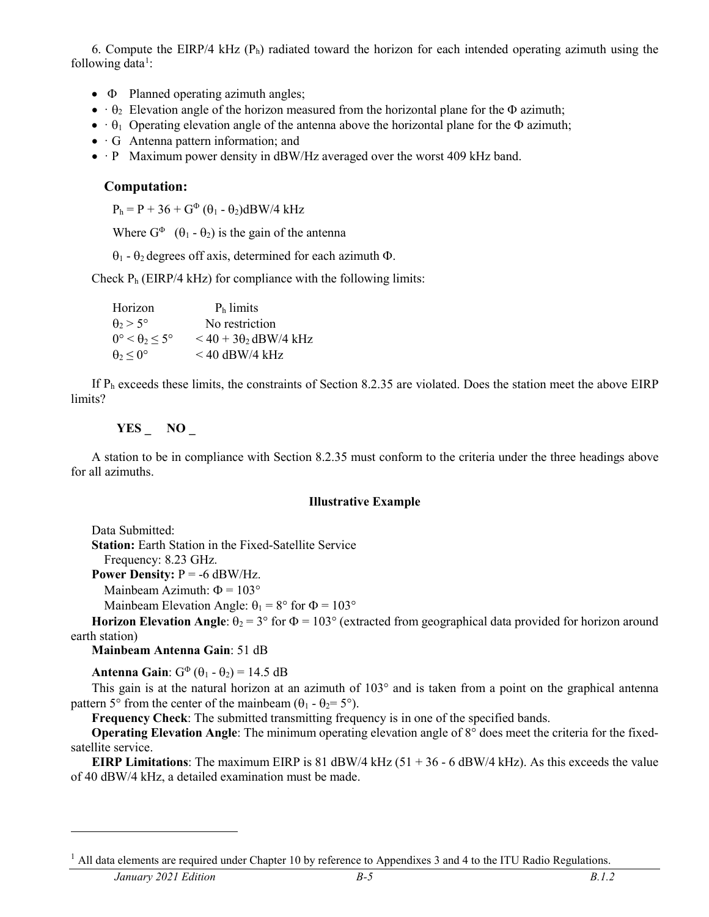6. Compute the EIRP/4 kHz  $(P_h)$  radiated toward the horizon for each intended operating azimuth using the following data<sup>[1](#page-4-0)</sup>:

- Φ Planned operating azimuth angles;
- $\cdot \theta_2$  Elevation angle of the horizon measured from the horizontal plane for the  $\Phi$  azimuth;
- $\theta_1$  Operating elevation angle of the antenna above the horizontal plane for the  $\Phi$  azimuth;
- · G Antenna pattern information; and
- · P Maximum power density in dBW/Hz averaged over the worst 409 kHz band.

### **Computation:**

 $P_h = P + 36 + G^{\Phi} (\theta_1 - \theta_2) dBW/4$  kHz

Where  $G^{\Phi}$  ( $\theta_1$  -  $\theta_2$ ) is the gain of the antenna

θ<sup>1</sup> - θ2 degrees off axis, determined for each azimuth Φ.

Check  $P_h$  (EIRP/4 kHz) for compliance with the following limits:

Horizon  $P_h$  limits  $\theta_2 > 5^\circ$  No restriction  $0^\circ \le \theta_2 \le 5^\circ$   $\le 40 + 3\theta_2$  dBW/4 kHz  $\theta_2 < 0^\circ$  < 40 dBW/4 kHz

If Ph exceeds these limits, the constraints of Section 8.2.35 are violated. Does the station meet the above EIRP limits?

### **YES \_ NO \_**

A station to be in compliance with Section 8.2.35 must conform to the criteria under the three headings above for all azimuths.

#### **Illustrative Example**

Data Submitted: **Station:** Earth Station in the Fixed-Satellite Service Frequency: 8.23 GHz.

**Power Density:**  $P = -6$  dBW/Hz.

Mainbeam Azimuth:  $\Phi = 103^{\circ}$ 

Mainbeam Elevation Angle:  $\theta_1 = 8^\circ$  for  $\Phi = 103^\circ$ 

**Horizon Elevation Angle:**  $\theta_2 = 3^{\circ}$  for  $\Phi = 103^{\circ}$  (extracted from geographical data provided for horizon around earth station)

**Mainbeam Antenna Gain**: 51 dB

**Antenna Gain**:  $G^{\Phi}(\theta_1 - \theta_2) = 14.5$  dB

This gain is at the natural horizon at an azimuth of 103° and is taken from a point on the graphical antenna pattern 5° from the center of the mainbeam  $(\theta_1 - \theta_2 = 5)$ °.

**Frequency Check**: The submitted transmitting frequency is in one of the specified bands.

**Operating Elevation Angle**: The minimum operating elevation angle of 8° does meet the criteria for the fixedsatellite service.

**EIRP** Limitations: The maximum EIRP is 81 dBW/4 kHz (51 + 36 - 6 dBW/4 kHz). As this exceeds the value of 40 dBW/4 kHz, a detailed examination must be made.

<span id="page-4-0"></span> $1$  All data elements are required under Chapter 10 by reference to Appendixes 3 and 4 to the ITU Radio Regulations.

 $\overline{a}$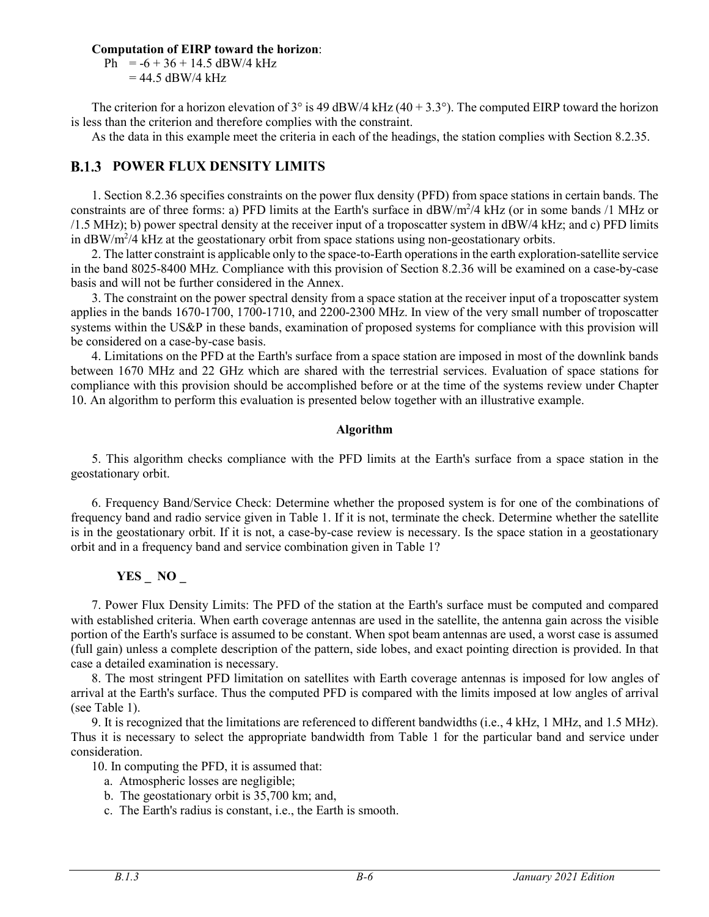#### **Computation of EIRP toward the horizon**:

Ph =  $-6 + 36 + 14.5$  dBW/4 kHz  $= 44.5$  dBW/4 kHz

The criterion for a horizon elevation of  $3^{\circ}$  is 49 dBW/4 kHz (40 + 3.3°). The computed EIRP toward the horizon is less than the criterion and therefore complies with the constraint.

As the data in this example meet the criteria in each of the headings, the station complies with Section 8.2.35.

# **B.1.3 POWER FLUX DENSITY LIMITS**

1. Section 8.2.36 specifies constraints on the power flux density (PFD) from space stations in certain bands. The constraints are of three forms: a) PFD limits at the Earth's surface in dBW/m<sup>2</sup>/4 kHz (or in some bands /1 MHz or /1.5 MHz); b) power spectral density at the receiver input of a troposcatter system in dBW/4 kHz; and c) PFD limits in dBW/m<sup>2</sup>/4 kHz at the geostationary orbit from space stations using non-geostationary orbits.

2. The latter constraint is applicable only to the space-to-Earth operations in the earth exploration-satellite service in the band 8025-8400 MHz. Compliance with this provision of Section 8.2.36 will be examined on a case-by-case basis and will not be further considered in the Annex.

3. The constraint on the power spectral density from a space station at the receiver input of a troposcatter system applies in the bands 1670-1700, 1700-1710, and 2200-2300 MHz. In view of the very small number of troposcatter systems within the US&P in these bands, examination of proposed systems for compliance with this provision will be considered on a case-by-case basis.

4. Limitations on the PFD at the Earth's surface from a space station are imposed in most of the downlink bands between 1670 MHz and 22 GHz which are shared with the terrestrial services. Evaluation of space stations for compliance with this provision should be accomplished before or at the time of the systems review under Chapter 10. An algorithm to perform this evaluation is presented below together with an illustrative example.

### **Algorithm**

5. This algorithm checks compliance with the PFD limits at the Earth's surface from a space station in the geostationary orbit.

6. Frequency Band/Service Check: Determine whether the proposed system is for one of the combinations of frequency band and radio service given in Table 1. If it is not, terminate the check. Determine whether the satellite is in the geostationary orbit. If it is not, a case-by-case review is necessary. Is the space station in a geostationary orbit and in a frequency band and service combination given in Table 1?

# **YES \_ NO \_**

7. Power Flux Density Limits: The PFD of the station at the Earth's surface must be computed and compared with established criteria. When earth coverage antennas are used in the satellite, the antenna gain across the visible portion of the Earth's surface is assumed to be constant. When spot beam antennas are used, a worst case is assumed (full gain) unless a complete description of the pattern, side lobes, and exact pointing direction is provided. In that case a detailed examination is necessary.

8. The most stringent PFD limitation on satellites with Earth coverage antennas is imposed for low angles of arrival at the Earth's surface. Thus the computed PFD is compared with the limits imposed at low angles of arrival (see Table 1).

9. It is recognized that the limitations are referenced to different bandwidths (i.e., 4 kHz, 1 MHz, and 1.5 MHz). Thus it is necessary to select the appropriate bandwidth from Table 1 for the particular band and service under consideration.

10. In computing the PFD, it is assumed that:

- a. Atmospheric losses are negligible;
- b. The geostationary orbit is 35,700 km; and,
- c. The Earth's radius is constant, i.e., the Earth is smooth.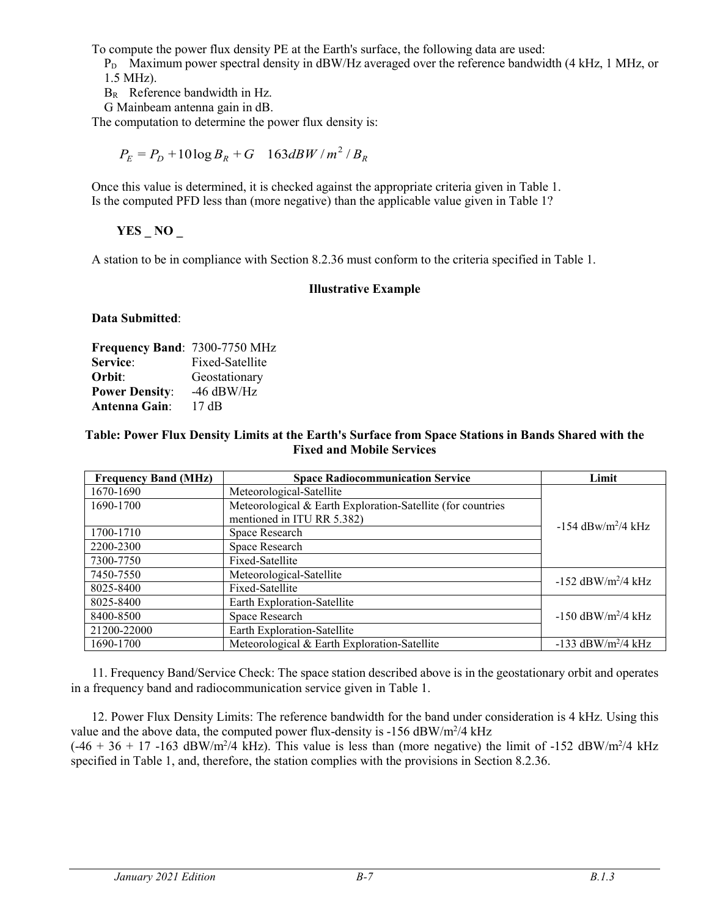To compute the power flux density PE at the Earth's surface, the following data are used:

 $P_D$  Maximum power spectral density in dBW/Hz averaged over the reference bandwidth (4 kHz, 1 MHz, or 1.5 MHz).

BR Reference bandwidth in Hz.

G Mainbeam antenna gain in dB.

The computation to determine the power flux density is:

 $P_E = P_D + 10 \log B_R + G \quad 163 dBW/m^2/B_R$ 

Once this value is determined, it is checked against the appropriate criteria given in Table 1. Is the computed PFD less than (more negative) than the applicable value given in Table 1?

**YES \_ NO \_**

A station to be in compliance with Section 8.2.36 must conform to the criteria specified in Table 1.

#### **Illustrative Example**

**Data Submitted**:

| Frequency Band: 7300-7750 MHz |                 |
|-------------------------------|-----------------|
| Service:                      | Fixed-Satellite |
| Orbit:                        | Geostationary   |
| <b>Power Density:</b>         | $-46$ dBW/Hz    |
| <b>Antenna Gain:</b>          | 17 dB           |

#### **Table: Power Flux Density Limits at the Earth's Surface from Space Stations in Bands Shared with the Fixed and Mobile Services**

| <b>Frequency Band (MHz)</b> | <b>Space Radiocommunication Service</b>                     | Limit                            |
|-----------------------------|-------------------------------------------------------------|----------------------------------|
| 1670-1690                   | Meteorological-Satellite                                    |                                  |
| 1690-1700                   | Meteorological & Earth Exploration-Satellite (for countries |                                  |
|                             | mentioned in ITU RR 5.382)                                  | $-154$ dBw/m <sup>2</sup> /4 kHz |
| 1700-1710                   | Space Research                                              |                                  |
| 2200-2300                   | Space Research                                              |                                  |
| 7300-7750                   | Fixed-Satellite                                             |                                  |
| 7450-7550                   | Meteorological-Satellite                                    | $-152$ dBW/m <sup>2</sup> /4 kHz |
| 8025-8400                   | Fixed-Satellite                                             |                                  |
| 8025-8400                   | Earth Exploration-Satellite                                 |                                  |
| 8400-8500                   | Space Research                                              | $-150$ dBW/m <sup>2</sup> /4 kHz |
| 21200-22000                 | Earth Exploration-Satellite                                 |                                  |
| 1690-1700                   | Meteorological & Earth Exploration-Satellite                | -133 dBW/m <sup>2</sup> /4 kHz   |

11. Frequency Band/Service Check: The space station described above is in the geostationary orbit and operates in a frequency band and radiocommunication service given in Table 1.

12. Power Flux Density Limits: The reference bandwidth for the band under consideration is 4 kHz. Using this value and the above data, the computed power flux-density is -156  $\text{dBW/m}^2/4 \text{ kHz}$  $(-46 + 36 + 17 - 163$  dBW/m<sup>2</sup>/4 kHz). This value is less than (more negative) the limit of -152 dBW/m<sup>2</sup>/4 kHz specified in Table 1, and, therefore, the station complies with the provisions in Section 8.2.36.